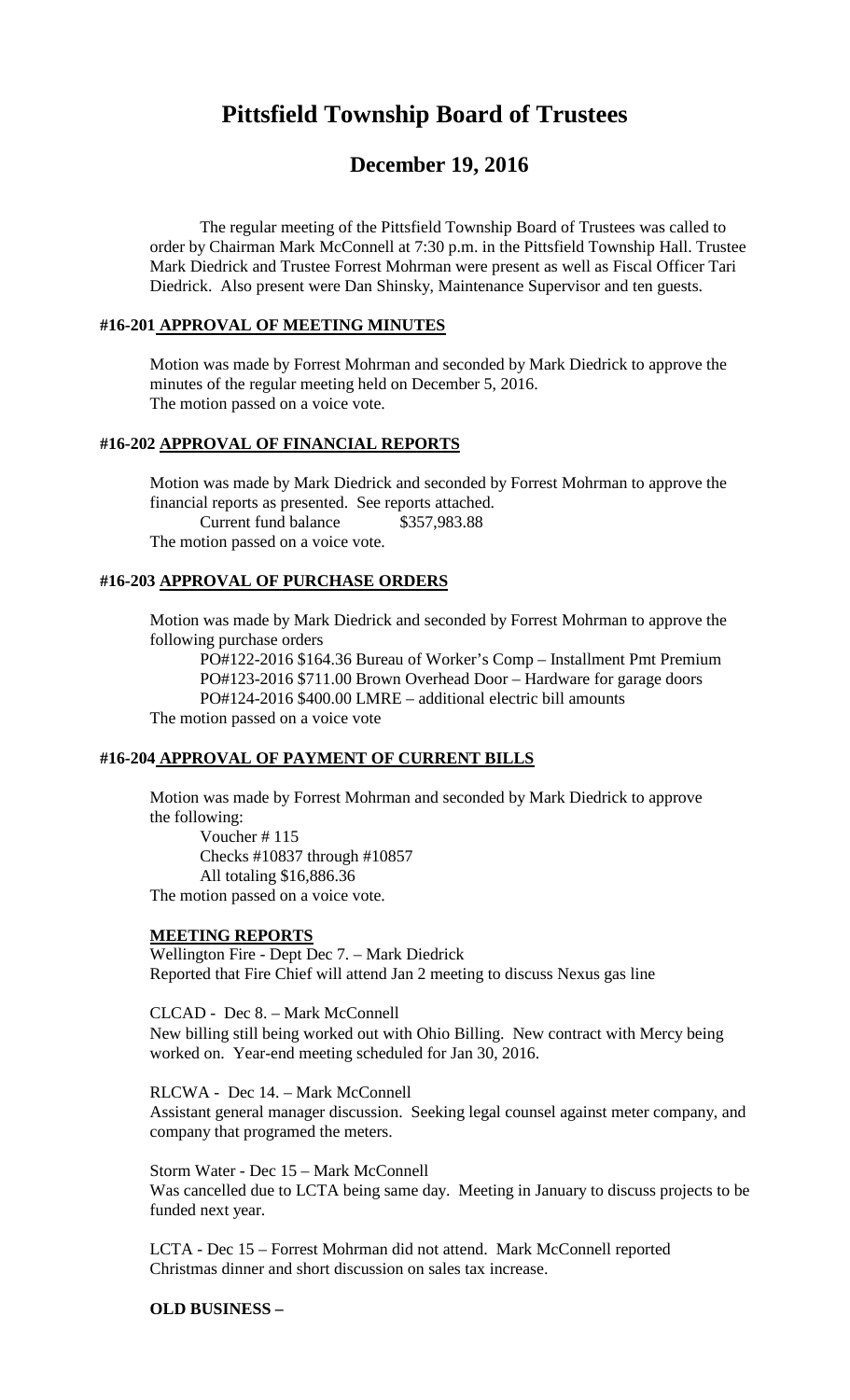# **Pittsfield Township Board of Trustees**

## **December 19, 2016**

The regular meeting of the Pittsfield Township Board of Trustees was called to order by Chairman Mark McConnell at 7:30 p.m. in the Pittsfield Township Hall. Trustee Mark Diedrick and Trustee Forrest Mohrman were present as well as Fiscal Officer Tari Diedrick. Also present were Dan Shinsky, Maintenance Supervisor and ten guests.

## **#16-201 APPROVAL OF MEETING MINUTES**

Motion was made by Forrest Mohrman and seconded by Mark Diedrick to approve the minutes of the regular meeting held on December 5, 2016. The motion passed on a voice vote.

#### **#16-202 APPROVAL OF FINANCIAL REPORTS**

Motion was made by Mark Diedrick and seconded by Forrest Mohrman to approve the financial reports as presented. See reports attached. Current fund balance \$357,983.88

The motion passed on a voice vote.

## **#16-203 APPROVAL OF PURCHASE ORDERS**

Motion was made by Mark Diedrick and seconded by Forrest Mohrman to approve the following purchase orders

PO#122-2016 \$164.36 Bureau of Worker's Comp – Installment Pmt Premium PO#123-2016 \$711.00 Brown Overhead Door – Hardware for garage doors PO#124-2016 \$400.00 LMRE – additional electric bill amounts The motion passed on a voice vote

#### **#16-204 APPROVAL OF PAYMENT OF CURRENT BILLS**

Motion was made by Forrest Mohrman and seconded by Mark Diedrick to approve the following:

Voucher # 115 Checks #10837 through #10857 All totaling \$16,886.36 The motion passed on a voice vote.

#### **MEETING REPORTS**

Wellington Fire - Dept Dec 7. – Mark Diedrick Reported that Fire Chief will attend Jan 2 meeting to discuss Nexus gas line

CLCAD - Dec 8. – Mark McConnell

New billing still being worked out with Ohio Billing. New contract with Mercy being worked on. Year-end meeting scheduled for Jan 30, 2016.

RLCWA - Dec 14. – Mark McConnell

Assistant general manager discussion. Seeking legal counsel against meter company, and company that programed the meters.

Storm Water - Dec 15 – Mark McConnell Was cancelled due to LCTA being same day. Meeting in January to discuss projects to be funded next year.

LCTA - Dec 15 – Forrest Mohrman did not attend. Mark McConnell reported Christmas dinner and short discussion on sales tax increase.

## **OLD BUSINESS –**